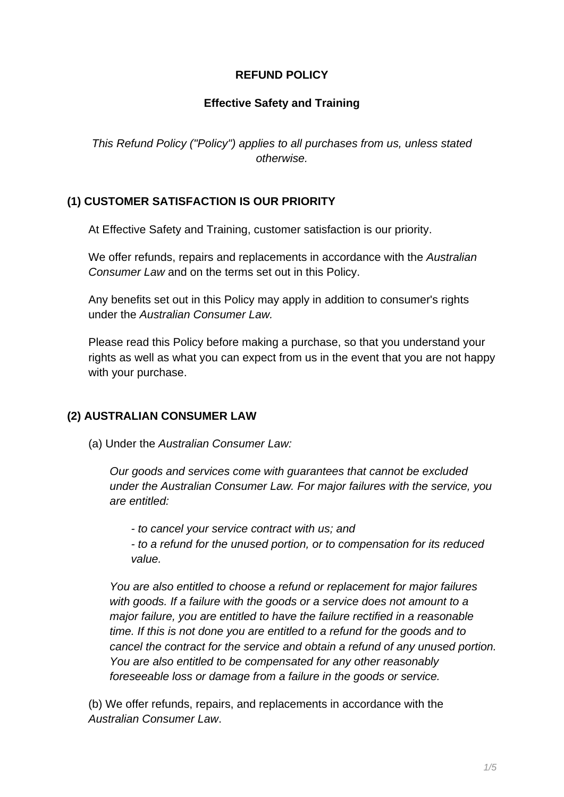#### **REFUND POLICY**

### **Effective Safety and Training**

This Refund Policy ("Policy") applies to all purchases from us, unless stated otherwise.

### **(1) CUSTOMER SATISFACTION IS OUR PRIORITY**

At Effective Safety and Training, customer satisfaction is our priority.

We offer refunds, repairs and replacements in accordance with the Australian Consumer Law and on the terms set out in this Policy.

Any benefits set out in this Policy may apply in addition to consumer's rights under the Australian Consumer Law.

Please read this Policy before making a purchase, so that you understand your rights as well as what you can expect from us in the event that you are not happy with your purchase.

#### **(2) AUSTRALIAN CONSUMER LAW**

(a) Under the Australian Consumer Law:

Our goods and services come with guarantees that cannot be excluded under the Australian Consumer Law. For major failures with the service, you are entitled:

- to cancel your service contract with us; and

- to a refund for the unused portion, or to compensation for its reduced value.

You are also entitled to choose a refund or replacement for major failures with goods. If a failure with the goods or a service does not amount to a major failure, you are entitled to have the failure rectified in a reasonable time. If this is not done you are entitled to a refund for the goods and to cancel the contract for the service and obtain a refund of any unused portion. You are also entitled to be compensated for any other reasonably foreseeable loss or damage from a failure in the goods or service.

(b) We offer refunds, repairs, and replacements in accordance with the Australian Consumer Law.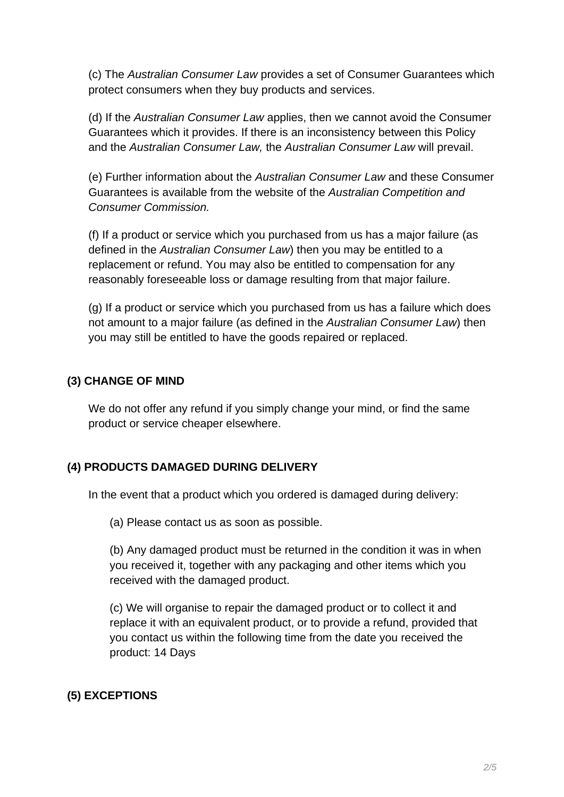(c) The Australian Consumer Law provides a set of Consumer Guarantees which protect consumers when they buy products and services.

(d) If the Australian Consumer Law applies, then we cannot avoid the Consumer Guarantees which it provides. If there is an inconsistency between this Policy and the Australian Consumer Law, the Australian Consumer Law will prevail.

(e) Further information about the Australian Consumer Law and these Consumer Guarantees is available from the website of the Australian Competition and Consumer Commission.

(f) If a product or service which you purchased from us has a major failure (as defined in the Australian Consumer Law) then you may be entitled to a replacement or refund. You may also be entitled to compensation for any reasonably foreseeable loss or damage resulting from that major failure.

(g) If a product or service which you purchased from us has a failure which does not amount to a major failure (as defined in the Australian Consumer Law) then you may still be entitled to have the goods repaired or replaced.

## **(3) CHANGE OF MIND**

We do not offer any refund if you simply change your mind, or find the same product or service cheaper elsewhere.

### **(4) PRODUCTS DAMAGED DURING DELIVERY**

In the event that a product which you ordered is damaged during delivery:

(a) Please contact us as soon as possible.

(b) Any damaged product must be returned in the condition it was in when you received it, together with any packaging and other items which you received with the damaged product.

(c) We will organise to repair the damaged product or to collect it and replace it with an equivalent product, or to provide a refund, provided that you contact us within the following time from the date you received the product: 14 Days

# **(5) EXCEPTIONS**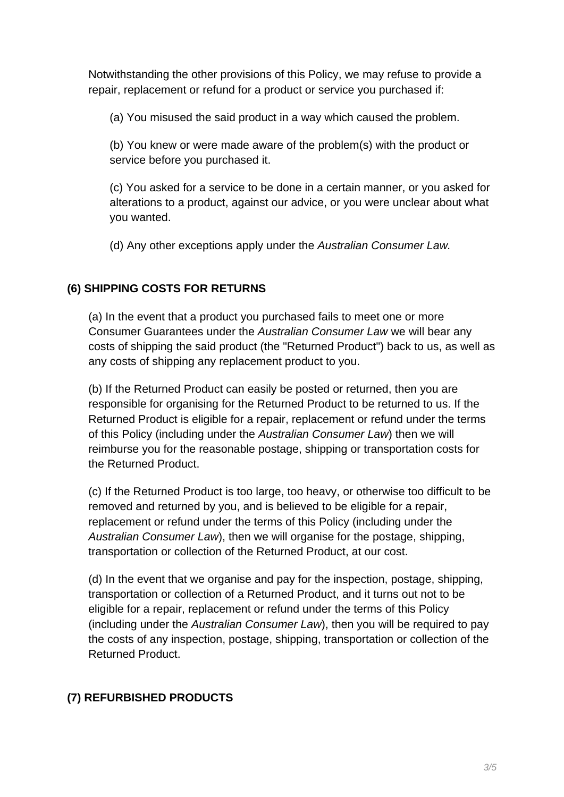Notwithstanding the other provisions of this Policy, we may refuse to provide a repair, replacement or refund for a product or service you purchased if:

(a) You misused the said product in a way which caused the problem.

(b) You knew or were made aware of the problem(s) with the product or service before you purchased it.

(c) You asked for a service to be done in a certain manner, or you asked for alterations to a product, against our advice, or you were unclear about what you wanted.

(d) Any other exceptions apply under the Australian Consumer Law.

### **(6) SHIPPING COSTS FOR RETURNS**

(a) In the event that a product you purchased fails to meet one or more Consumer Guarantees under the Australian Consumer Law we will bear any costs of shipping the said product (the "Returned Product") back to us, as well as any costs of shipping any replacement product to you.

(b) If the Returned Product can easily be posted or returned, then you are responsible for organising for the Returned Product to be returned to us. If the Returned Product is eligible for a repair, replacement or refund under the terms of this Policy (including under the Australian Consumer Law) then we will reimburse you for the reasonable postage, shipping or transportation costs for the Returned Product.

(c) If the Returned Product is too large, too heavy, or otherwise too difficult to be removed and returned by you, and is believed to be eligible for a repair, replacement or refund under the terms of this Policy (including under the Australian Consumer Law), then we will organise for the postage, shipping, transportation or collection of the Returned Product, at our cost.

(d) In the event that we organise and pay for the inspection, postage, shipping, transportation or collection of a Returned Product, and it turns out not to be eligible for a repair, replacement or refund under the terms of this Policy (including under the Australian Consumer Law), then you will be required to pay the costs of any inspection, postage, shipping, transportation or collection of the Returned Product.

### **(7) REFURBISHED PRODUCTS**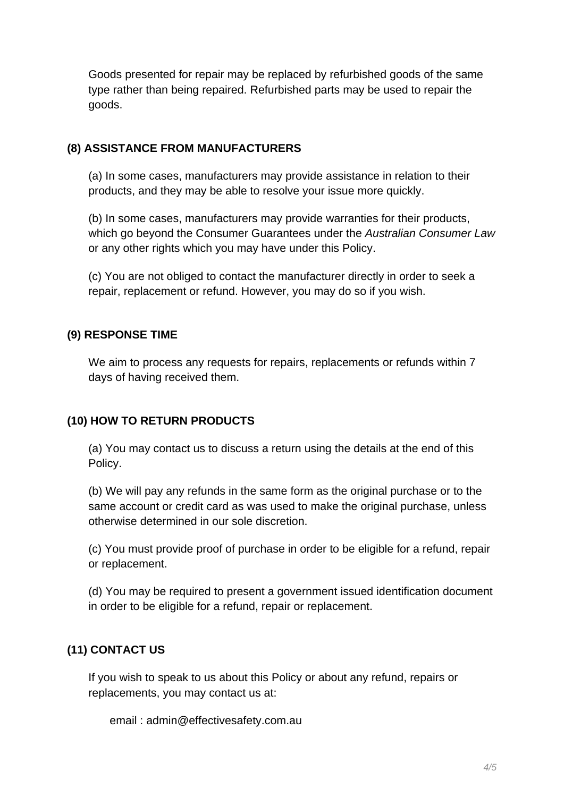Goods presented for repair may be replaced by refurbished goods of the same type rather than being repaired. Refurbished parts may be used to repair the goods.

#### **(8) ASSISTANCE FROM MANUFACTURERS**

(a) In some cases, manufacturers may provide assistance in relation to their products, and they may be able to resolve your issue more quickly.

(b) In some cases, manufacturers may provide warranties for their products, which go beyond the Consumer Guarantees under the Australian Consumer Law or any other rights which you may have under this Policy.

(c) You are not obliged to contact the manufacturer directly in order to seek a repair, replacement or refund. However, you may do so if you wish.

### **(9) RESPONSE TIME**

We aim to process any requests for repairs, replacements or refunds within 7 days of having received them.

### **(10) HOW TO RETURN PRODUCTS**

(a) You may contact us to discuss a return using the details at the end of this Policy.

(b) We will pay any refunds in the same form as the original purchase or to the same account or credit card as was used to make the original purchase, unless otherwise determined in our sole discretion.

(c) You must provide proof of purchase in order to be eligible for a refund, repair or replacement.

(d) You may be required to present a government issued identification document in order to be eligible for a refund, repair or replacement.

### **(11) CONTACT US**

If you wish to speak to us about this Policy or about any refund, repairs or replacements, you may contact us at:

email : admin@effectivesafety.com.au